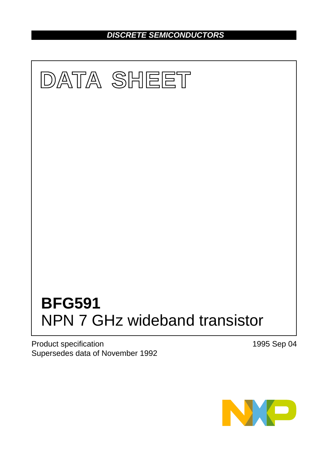*DISCRETE SEMICONDUCTORS*



Product specification Supersedes data of November 1992 1995 Sep 04

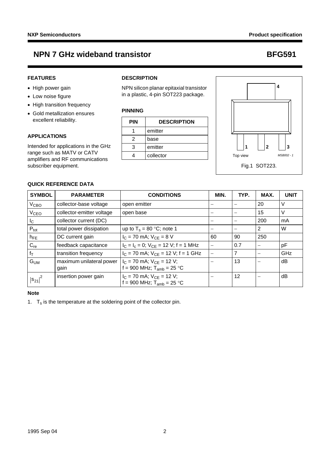## **FEATURES**

- High power gain
- Low noise figure
- High transition frequency
- Gold metallization ensures excellent reliability.

**QUICK REFERENCE DATA**

## **APPLICATIONS**

Intended for applications in the GHz range such as MATV or CATV amplifiers and RF communications subscriber equipment.

## **DESCRIPTION**

NPN silicon planar epitaxial transistor in a plastic, 4-pin SOT223 package.

## **PINNING**

| PIN | <b>DESCRIPTION</b> |
|-----|--------------------|
|     | emitter            |
| 2   | base               |
| 3   | emitter            |
|     | collector          |



| <b>SYMBOL</b>    | <b>PARAMETER</b>                 | <b>CONDITIONS</b>                                                 | MIN. | TYP. | MAX. | <b>UNIT</b> |
|------------------|----------------------------------|-------------------------------------------------------------------|------|------|------|-------------|
| V <sub>CBO</sub> | collector-base voltage           | open emitter                                                      |      |      | 20   | V           |
| V <sub>CEO</sub> | collector-emitter voltage        | open base                                                         |      |      | 15   | V           |
| $I_{\rm C}$      | collector current (DC)           |                                                                   |      |      | 200  | mA          |
| $P_{\text{tot}}$ | total power dissipation          | up to $T_s = 80$ °C; note 1                                       |      |      | 2    | W           |
| $h_{FE}$         | DC current gain                  | $I_C$ = 70 mA; $V_{CE}$ = 8 V                                     | 60   | 90   | 250  |             |
| $C_{re}$         | feedback capacitance             | $I_C = I_c = 0$ ; $V_{CE} = 12$ V; f = 1 MHz                      |      | 0.7  | -    | рF          |
| $f_T$            | transition frequency             | $I_C$ = 70 mA; $V_{CE}$ = 12 V; f = 1 GHz                         |      | 7    |      | GHz         |
| $G_{UM}$         | maximum unilateral power<br>gain | $I_C$ = 70 mA; $V_{CE}$ = 12 V;<br>f = 900 MHz; $T_{amb}$ = 25 °C |      | 13   |      | dВ          |
| $ s_{21} ^2$     | insertion power gain             | $I_C$ = 70 mA; $V_{CE}$ = 12 V;<br>f = 900 MHz; $T_{amb}$ = 25 °C |      | 12   |      | dB          |

### **Note**

<span id="page-1-0"></span>1.  $T_s$  is the temperature at the soldering point of the collector pin.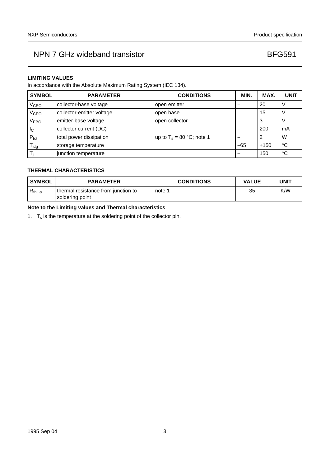### **LIMITING VALUES**

In accordance with the Absolute Maximum Rating System (IEC 134).

| <b>SYMBOL</b>       | <b>PARAMETER</b>          | <b>CONDITIONS</b>            | MIN.  | MAX.   | <b>UNIT</b> |
|---------------------|---------------------------|------------------------------|-------|--------|-------------|
| V <sub>CBO</sub>    | collector-base voltage    | open emitter                 | –     | 20     |             |
| V <sub>CEO</sub>    | collector-emitter voltage | open base                    | -     | 15     |             |
| V <sub>EBO</sub>    | emitter-base voltage      | open collector               | -     | 3      |             |
| <sub>Ic</sub>       | collector current (DC)    |                              | -     | 200    | mA          |
| $P_{\text{tot}}$    | total power dissipation   | up to $T_s = 80 °C$ ; note 1 |       | 2      | W           |
| ${\sf T}_{\sf stg}$ | storage temperature       |                              | $-65$ | $+150$ | °C          |
|                     | junction temperature      |                              | -     | 150    | $^{\circ}C$ |

## **THERMAL CHARACTERISTICS**

| <b>SYMBOL</b> | <b>PARAMETER</b>                                       | <b>CONDITIONS</b> | <b>VALUE</b> | UNIT |
|---------------|--------------------------------------------------------|-------------------|--------------|------|
| $R_{th\,j-s}$ | thermal resistance from junction to<br>soldering point | note 1            | 35           | K/W  |

## **Note to the Limiting values and Thermal characteristics**

<span id="page-2-0"></span>1.  $T_s$  is the temperature at the soldering point of the collector pin.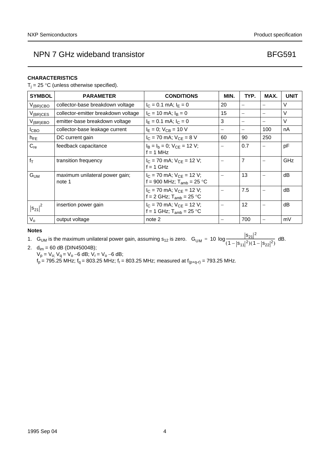### **CHARACTERISTICS**

 $T_i = 25 \text{ °C}$  (unless otherwise specified).

| <b>SYMBOL</b>    | <b>PARAMETER</b>                         | <b>CONDITIONS</b>                                                 | MIN. | TYP.                     | MAX.                     | <b>UNIT</b> |
|------------------|------------------------------------------|-------------------------------------------------------------------|------|--------------------------|--------------------------|-------------|
| $V_{(BR)CBO}$    | collector-base breakdown voltage         | $I_C = 0.1$ mA; $I_F = 0$                                         | 20   |                          |                          | V           |
| $V_{(BR)CES}$    | collector-emitter breakdown voltage      | $I_C = 10$ mA; $I_B = 0$                                          | 15   | $\overline{\phantom{0}}$ | $\qquad \qquad -$        | $\vee$      |
| $V_{(BR)EBO}$    | emitter-base breakdown voltage           | $I_E = 0.1$ mA; $I_C = 0$                                         | 3    | —                        | $\overline{\phantom{m}}$ | $\vee$      |
| I <sub>CBO</sub> | collector-base leakage current           | $I_E = 0$ ; $V_{CB} = 10 V$                                       |      | —                        | 100                      | nA          |
| $h_{FE}$         | DC current gain                          | $I_C = 70$ mA; $V_{CE} = 8$ V                                     | 60   | 90                       | 250                      |             |
| $C_{re}$         | feedback capacitance                     | $I_B = I_b = 0$ ; $V_{CF} = 12$ V;<br>$f = 1$ MHz                 |      | 0.7                      | $\overline{\phantom{0}}$ | рF          |
| $f_T$            | transition frequency                     | $I_C$ = 70 mA; $V_{CE}$ = 12 V;<br>$f = 1$ GHz                    |      | $\overline{7}$           |                          | GHz         |
| G <sub>UM</sub>  | maximum unilateral power gain;<br>note 1 | $I_C$ = 70 mA; $V_{CE}$ = 12 V;<br>f = 900 MHz; $T_{amb}$ = 25 °C |      | 13                       |                          | dB          |
|                  |                                          | $I_C$ = 70 mA; $V_{CE}$ = 12 V;<br>f = 2 GHz; $T_{amb}$ = 25 °C   |      | 7.5                      |                          | dB          |
| $ s_{21} ^2$     | insertion power gain                     | $I_C$ = 70 mA; $V_{CF}$ = 12 V;<br>f = 1 GHz; $T_{amb}$ = 25 °C   |      | 12                       |                          | dB          |
| $V_{o}$          | output voltage                           | note 2                                                            |      | 700                      | $\overline{\phantom{m}}$ | mV          |

### **Notes**

<span id="page-3-0"></span>1. G<sub>UM</sub> is the maximum unilateral power gain, assuming s<sub>12</sub> is zero. G<sub>UM</sub> = 10 log  $\frac{|s_{21}|^2}{(4-|s_{21}|^2)^2}$ = 10  $\log \frac{|z_{21}|}{(1-|s_{11}|^2)(1-|s_{22}|^2)}$  dB.

<span id="page-3-1"></span>2.  $d_{im} = 60$  dB (DIN45004B);  $V_p = V_{o}$ ;  $V_q = V_o - 6$  dB;  $V_r = V_o - 6$  dB;  $\rm{f}_p$  = 795.25 MHz;  $\rm{f}_q$  = 803.25 MHz;  $\rm{f}_r$  = 803.25 MHz; measured at  $\rm{f}_{(p+q\text{-}r)}$  = 793.25 MHz.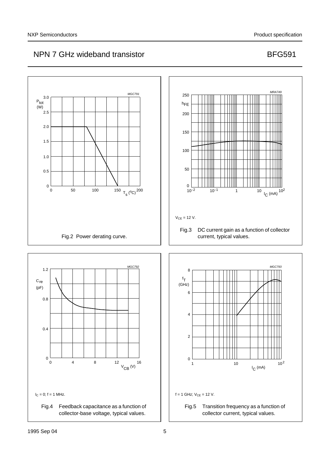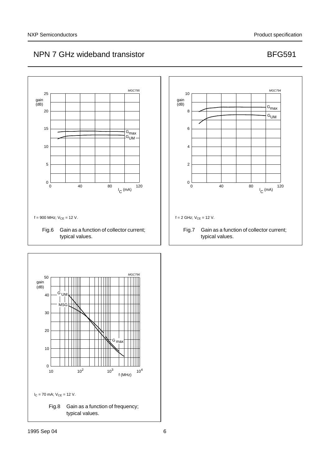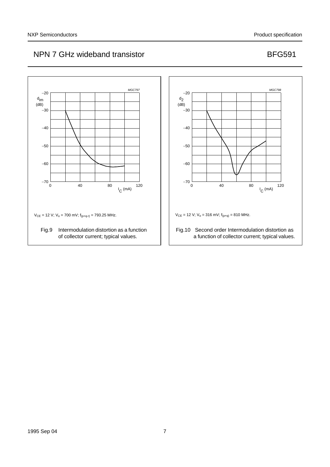

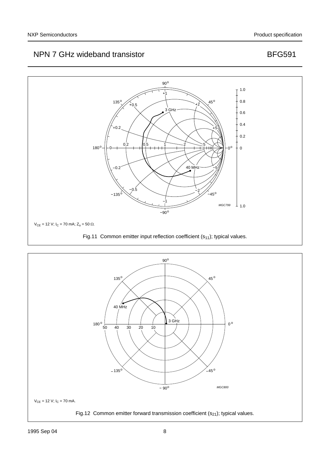

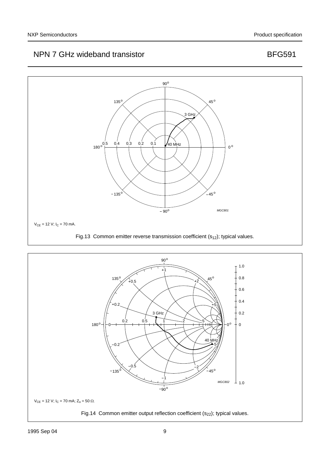

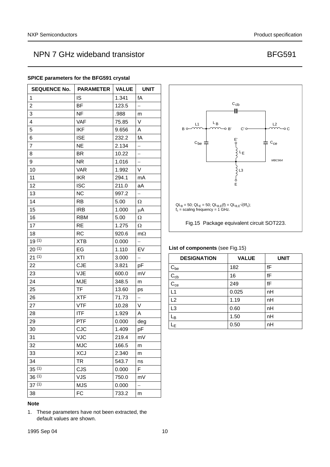## **SEQUENCE No. PARAMETER VALUE UNIT** 1 | IS | 1.341 | fA 2 BF 123.5 3 | NF | .988 | m 4 VAF 75.85 V 5 | IKF | 9.656 | A 6 | ISE | 232.2 | fA 7 NE 2.134 -8 BR 10.22 -9 NR 1.016 – 10 VAR 1.992 V 11 IKR 294.1 mA 12 | ISC | 211.0 | aA 13 NC 997.2 – 14 RB  $\vert$  5.00  $\vert$   $\Omega$ 15 |  $|{\rm IRB}$  | 1.000  $\mu{\rm A}$ 16 RBM  $\vert$  5.00  $\vert$  Ω 17 RE  $1.275$   $\Omega$ 18  $\vert$  RC  $\vert$  920.6  $\vert$  m $\Omega$ 19<sup>(1)</sup>  $\begin{array}{ccc} \n\sqrt{19} & \text{10} \\
\end{array}$ 20 [\(1\)](#page-9-0) EG 1.110 EV 21 [\(1\)](#page-9-0) XTI 3.000 22 CJE 3.821 pF 23 VJE 600.0 mV 24 **MJE** 348.5 m 25 | TF | 13.60 | ps 26 **XTF** 71.73 <u>-</u> 27 VTF 10.28 V 28 ITF 1.929 A 29 PTF 0.000 deg 30 CJC 1.409 pF 31 VJC 219.4 mV 32 MJC 166.5 m 33 XCJ 2.340 m 34 TR 543.7 ns 35<sup>(1)</sup> CJS 0.000 F 36 [\(1\)](#page-9-0) VJS 750.0 mV  $37^{(1)}$  MJS 0.000 -38 FC 733.2 m

### **SPICE parameters for the BFG591 crystal**



<span id="page-9-0"></span>1. These parameters have not been extracted, the default values are shown.



### <span id="page-9-1"></span>**List of components** [\(see Fig.15\)](#page-9-1)

| <b>DESIGNATION</b> | <b>VALUE</b> | <b>UNIT</b> |
|--------------------|--------------|-------------|
| $C_{be}$           | 182          | fF          |
| $C_{cb}$           | 16           | fF          |
| $C_{ce}$           | 249          | fF          |
| L1                 | 0.025        | nH          |
| L2                 | 1.19         | nH          |
| L <sub>3</sub>     | 0.60         | nH          |
| Lв                 | 1.50         | nH          |
| -E                 | 0.50         | nH          |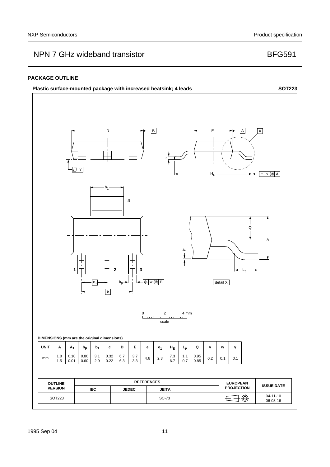### **PACKAGE OUTLINE**

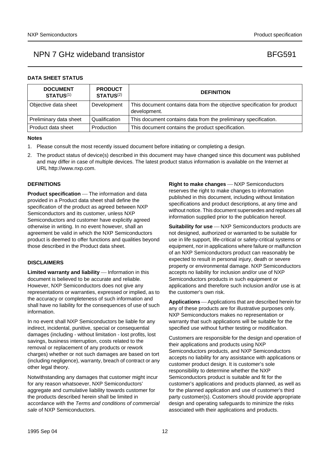## **DATA SHEET STATUS**

| <b>DOCUMENT</b><br><b>STATUS(1)</b> | <b>PRODUCT</b><br>STATUS <sup>(2)</sup> | <b>DEFINITION</b>                                                                        |
|-------------------------------------|-----------------------------------------|------------------------------------------------------------------------------------------|
| Objective data sheet                | Development                             | This document contains data from the objective specification for product<br>development. |
| Preliminary data sheet              | Qualification                           | This document contains data from the preliminary specification.                          |
| Product data sheet                  | Production                              | This document contains the product specification.                                        |

### **Notes**

- <span id="page-11-0"></span>1. Please consult the most recently issued document before initiating or completing a design.
- <span id="page-11-1"></span>2. The product status of device(s) described in this document may have changed since this document was published and may differ in case of multiple devices. The latest product status information is available on the Internet at URL http://www.nxp.com.

### **DEFINITIONS**

**Product specification** — The information and data provided in a Product data sheet shall define the specification of the product as agreed between NXP Semiconductors and its customer, unless NXP Semiconductors and customer have explicitly agreed otherwise in writing. In no event however, shall an agreement be valid in which the NXP Semiconductors product is deemed to offer functions and qualities beyond those described in the Product data sheet.

### **DISCLAIMERS**

**Limited warranty and liability** — Information in this document is believed to be accurate and reliable. However, NXP Semiconductors does not give any representations or warranties, expressed or implied, as to the accuracy or completeness of such information and shall have no liability for the consequences of use of such information.

In no event shall NXP Semiconductors be liable for any indirect, incidental, punitive, special or consequential damages (including - without limitation - lost profits, lost savings, business interruption, costs related to the removal or replacement of any products or rework charges) whether or not such damages are based on tort (including negligence), warranty, breach of contract or any other legal theory.

Notwithstanding any damages that customer might incur for any reason whatsoever, NXP Semiconductors' aggregate and cumulative liability towards customer for the products described herein shall be limited in accordance with the *Terms and conditions of commercial sale* of NXP Semiconductors.

**Right to make changes** - NXP Semiconductors reserves the right to make changes to information published in this document, including without limitation specifications and product descriptions, at any time and without notice. This document supersedes and replaces all information supplied prior to the publication hereof.

**Suitability for use** - NXP Semiconductors products are not designed, authorized or warranted to be suitable for use in life support, life-critical or safety-critical systems or equipment, nor in applications where failure or malfunction of an NXP Semiconductors product can reasonably be expected to result in personal injury, death or severe property or environmental damage. NXP Semiconductors accepts no liability for inclusion and/or use of NXP Semiconductors products in such equipment or applications and therefore such inclusion and/or use is at the customer's own risk.

**Applications** — Applications that are described herein for any of these products are for illustrative purposes only. NXP Semiconductors makes no representation or warranty that such applications will be suitable for the specified use without further testing or modification.

Customers are responsible for the design and operation of their applications and products using NXP Semiconductors products, and NXP Semiconductors accepts no liability for any assistance with applications or customer product design. It is customer's sole responsibility to determine whether the NXP Semiconductors product is suitable and fit for the customer's applications and products planned, as well as for the planned application and use of customer's third party customer(s). Customers should provide appropriate design and operating safeguards to minimize the risks associated with their applications and products.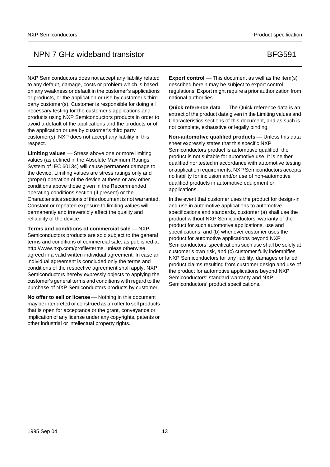NXP Semiconductors does not accept any liability related to any default, damage, costs or problem which is based on any weakness or default in the customer's applications or products, or the application or use by customer's third party customer(s). Customer is responsible for doing all necessary testing for the customer's applications and products using NXP Semiconductors products in order to avoid a default of the applications and the products or of the application or use by customer's third party customer(s). NXP does not accept any liability in this respect.

Limiting values Stress above one or more limiting values (as defined in the Absolute Maximum Ratings System of IEC 60134) will cause permanent damage to the device. Limiting values are stress ratings only and (proper) operation of the device at these or any other conditions above those given in the Recommended operating conditions section (if present) or the Characteristics sections of this document is not warranted. Constant or repeated exposure to limiting values will permanently and irreversibly affect the quality and reliability of the device.

**Terms and conditions of commercial sale – NXP** Semiconductors products are sold subject to the general terms and conditions of commercial sale, as published at http://www.nxp.com/profile/terms, unless otherwise agreed in a valid written individual agreement. In case an individual agreement is concluded only the terms and conditions of the respective agreement shall apply. NXP Semiconductors hereby expressly objects to applying the customer's general terms and conditions with regard to the purchase of NXP Semiconductors products by customer.

**No offer to sell or license** — Nothing in this document may be interpreted or construed as an offer to sell products that is open for acceptance or the grant, conveyance or implication of any license under any copyrights, patents or other industrial or intellectual property rights.

**Export control** — This document as well as the item(s) described herein may be subject to export control regulations. Export might require a prior authorization from national authorities.

**Quick reference data** — The Quick reference data is an extract of the product data given in the Limiting values and Characteristics sections of this document, and as such is not complete, exhaustive or legally binding.

**Non-automotive qualified products** — Unless this data sheet expressly states that this specific NXP Semiconductors product is automotive qualified, the product is not suitable for automotive use. It is neither qualified nor tested in accordance with automotive testing or application requirements. NXP Semiconductors accepts no liability for inclusion and/or use of non-automotive qualified products in automotive equipment or applications.

In the event that customer uses the product for design-in and use in automotive applications to automotive specifications and standards, customer (a) shall use the product without NXP Semiconductors' warranty of the product for such automotive applications, use and specifications, and (b) whenever customer uses the product for automotive applications beyond NXP Semiconductors' specifications such use shall be solely at customer's own risk, and (c) customer fully indemnifies NXP Semiconductors for any liability, damages or failed product claims resulting from customer design and use of the product for automotive applications beyond NXP Semiconductors' standard warranty and NXP Semiconductors' product specifications.